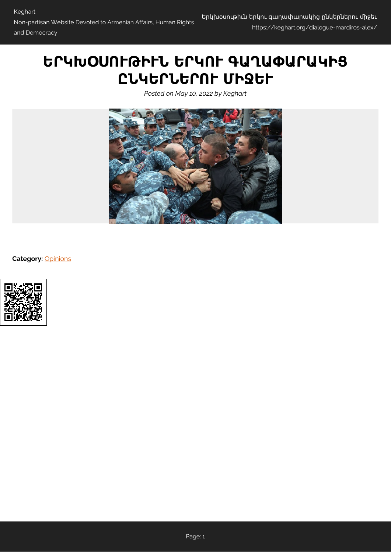## **ԵՐԿԽՕՍՈՒԹԻՒՆ ԵՐԿՈՒ ԳԱՂԱՓԱՐԱԿԻՑ ԸՆԿԵՐՆԵՐՈՒ ՄԻՋԵՒ**

*Posted on May 10, 2022 by Keghart*



**Category:** [Opinions](https://keghart.org/category/opinions/)

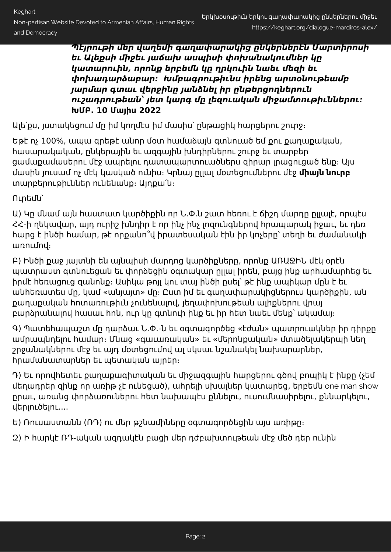*Պէյրութի մեր վաղեմի գաղափարակից ընկերներէն Մարտիրոսի եւ Ալեքսի միջեւ յաճախ ասպիսի փոխանակումներ կը կատարուին, որոնք երբեմն կը ղրկուին նաեւ մեզի եւ փոխադարձաբար։ Խմբագրութիւնս իրենց արտօնութեամբ յարմար գտաւ վերջինը յանձնել իր ընթերցողներուն ուշադրութեան՝ յետ կարգ մը լեզուական միջամտութիւններու։* **ԽՄԲ. 10 Մայիս 2022**

Ալե՛քս, յստակեցում մը իմ կողմէս իմ մասիս՝ ընթացիկ հարցերու շուրջ։

Եթէ ոչ 100%, ապա գրեթէ անոր մօտ համաձայն գտնուած եմ քու քաղաքական, հասարակական, ընկերային եւ ազգային խնդիրներու շուրջ եւ տարբեր ցամաքամասերու մէջ ապրելու դատապարտուածներս զիրար լրացուցած ենք։ Այս մասին յուսամ ոչ մէկ կասկած ունիս։ Կրնայ ըլլալ մօտեցումներու մէջ **միայն նուրբ** տարբերութիւններ ունենանք։ Այդքա՛ն։

Ուրեմն՝

Ա) Կը մնամ այն հաստատ կարծիքին որ Ն.Փ.ն շատ հեռու է ճիշդ մարդը ըլլալէ, որպէս ՀՀ-ի ղեկավար, այդ ուրիշ խնդիր է որ ինչ ինչ լոզունգներով հրապարակ իջաւ, եւ դեռ հարց է ինծի համար, թէ որքանո՞վ իրատեսական էին իր կոչերը՝ տեղի եւ ժամանակի առումով։

Բ) Ինծի քաջ յայտնի են այնպիսի մարդոց կարծիքները, որոնք ԱՌԱՋԻՆ մէկ օրէն պատրաստ գտնուեցան եւ փորձեցին օգտակար ըլլալ իրեն, բայց ինք արհամարհեց եւ իրմէ հեռացուց զանոնք։ Ասիկա թոյլ կու տայ ինծի ըսել՝ թէ ինք ապիկար մըն է եւ անհեռատես մը, կամ «անյայտ» մը։ Ըստ իմ եւ գաղափարակիցներուս կարծիքին, ան քաղաքական հոտառութիւն չունենալով, յեղափոխութեան ալիքներու վրայ բարձրանալով հասաւ հոն, ուր կը գտնուի ինք եւ իր հետ նաեւ մենք՝ ակամայ։

Գ) Պատեհապաշտ մը դարձաւ Ն.Փ.-ն եւ օգտագործեց «էժան» պատրուակներ իր դիրքը ամրապնդելու համար։ Մնաց «գաւառական» եւ «մերոնքական» մտածելակերպի նեղ շրջանակներու մէջ եւ այդ մօտեցումով ալ սկսաւ նշանակել նախարարներ, հրամանատարներ եւ պետական այրեր։

Դ) Եւ որովհետեւ քաղաքագիտական եւ միջազգային հարցերու գծով բոպիկ է ինքը (չեմ մեղադրեր զինք որ առիթ չէ ունեցած), ահրելի սխալներ կատարեց, երբեմն one man show ըրաւ, առանց փորձառուներու հետ նախապէս քննելու, ուսումնասիրելու, քննարկելու, վերլուծելու....

Ե) Ռուսաստանն (ՌԴ) ու մեր թշնամիները օգտագործեցին այս առիթը։

Զ) Ի հարկէ ՌԴ-ական ազդակէն բացի մեր դժբախտութեան մէջ մեծ դեր ունին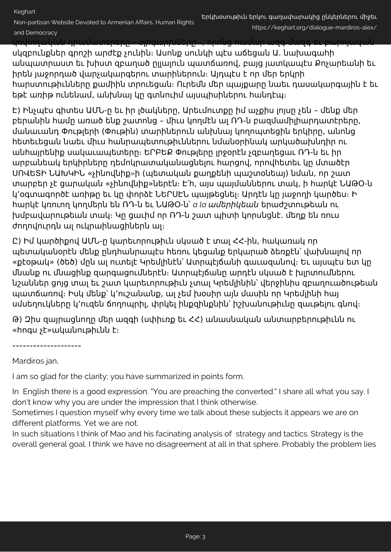Non-partisan Website Devoted to Armenian Affairs, Human Rights

and Democracy

կռփողական դրամատէրերը – օլիգարխները -, որոնց համար ազգ-մազգ եւ բարոյական սկզբունքներ գրոշի արժէք չունին։ Ասոնք սունկի պէս աճեցան Ա. նախագահի

անպատրաստ եւ խիստ զբաղած ըլլալուն պատճառով, բայց յատկապէս Քոչարեանի եւ իրեն յաջորդած վարչակարգերու տարիներուն։ Այդպէս է որ մեր երկրի հարստութիւնները քամիին տրուեցան։ Ուրեմն մեր պայքարը նաեւ դասակարգային է եւ եթէ առիթ ունենամ, անխնայ կը գտնուիմ այսպիսիներու հանդէպ։

Է) Ինչպէս գիտես ԱՄՆ-ը եւ իր լծակները, Արեւմուտքը իմ աչքիս լոյսը չեն – մենք մեր բերանին համը առած ենք շատոնց – միւս կողմէն ալ ՌԴ-ն բազմամիլիարդատէրերը, մանաւանդ Փութլերի (Փութին) տարիներուն անխնայ կողոպտեցին երկիրը, անոնց հետեւեցան նաեւ միւս հանրապետութիւններու նմանօրինակ արկածախնդիր ու անհայրենիք սակաւապետերը։ ԵՐԲԵՔ Փութլերը լրջօրէն չզբաղեցաւ ՌԴ-ն եւ իր արբանեակ երկիրները դեմոկրատականացնելու հարցով, որովհետեւ կը մտածէր ՍՈՎԵՏԻ ՆԱԽԿԻՆ «չինովնիք*»*ի (պետական քաղքենի պաշտօնեայ) նման, որ շատ տարբեր չէ ցարական «չինովնիք»ներէն։ Է՛հ, այս պայմաններու տակ, ի հարկէ ՆԱԹՕ-ն կ՚օգտագործէ առիթը եւ կը փորձէ ՆԵՐՍԷՆ պայթեցնել։ Արդէն կը յաջողի կարծես։ Ի հարկէ կռուող կողմերն են ՌԴ-ն եւ ՆԱԹՕ-ն՝ *a la* ամերիկեան երաժշտութեան ու խմբավարութեան տակ։ Կը ցաւիմ որ ՌԴ-ն շատ պիտի կորսնցնէ. մեղք են ռուս ժողովուրդն ալ ուկրաինացիներն ալ։

Ը) Իմ կարծիքով ԱՄՆ-ը կարեւորութիւն սկսած է տալ ՀՀ-ին, հակառակ որ պետականօրէն մենք ընդհանրապէս հեռու կեցանք երկարած ձեռքէն՝ վախնալով որ «քէօթակ» (ծեծ) մըն ալ ուտելէ Կրեմլինէն` Ատրպէյճանի գաւազանով։ Եւ այսպէս ետ կը մնանք ու մնացինք զարգացումներէն։ Ատրպէյճանը արդէն սկսած է խլրտումներու նշաններ ցոյց տալ եւ շատ կարեւորութիւն չտալ Կրեմլինին՝ վերջինիս զբաղուածութեան պատճառով։ Իսկ մենք՝ կ՚ուշանանք, ալ չեմ խօսիր այն մասին որ Կրեմլինի հայ սմսեղուկները կ՚ուզեն ճողոպրիլ, փրկել ինքզինքնին՝ իշխանութիւնը զաւթելու գնով։

Թ) Զիս զայրացնողը մեր ազգի (սփիւռք եւ ՀՀ) անասնական անտարբերութիւնն ու «հոգս չէ»ականութիւնն է։

====================

Mardiros jan,

I am so glad for the clarity; you have summarized in points form.

In English there is a good expression. "You are preaching the converted." I share all what you say. I don't know why you are under the impression that I think otherwise.

Sometimes I question myself why every time we talk about these subjects it appears we are on different platforms. Yet we are not.

In such situations I think of Mao and his facinating analysis of strategy and tactics. Strategy is the overall general goal. I think we have no disagreement at all in that sphere. Probably the problem lies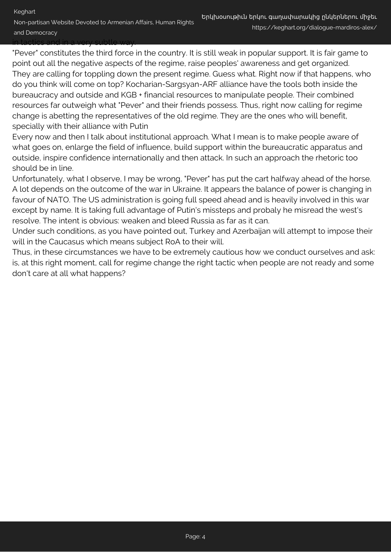"Pever" constitutes the third force in the country. It is still weak in popular support. It is fair game to point out all the negative aspects of the regime, raise peoples' awareness and get organized. They are calling for toppling down the present regime. Guess what. Right now if that happens, who do you think will come on top? Kocharian-Sargsyan-ARF alliance have the tools both inside the bureaucracy and outside and KGB + financial resources to manipulate people. Their combined resources far outweigh what "Pever" and their friends possess. Thus, right now calling for regime change is abetting the representatives of the old regime. They are the ones who will benefit, specially with their alliance with Putin

Every now and then I talk about institutional approach. What I mean is to make people aware of what goes on, enlarge the field of influence, build support within the bureaucratic apparatus and outside, inspire confidence internationally and then attack. In such an approach the rhetoric too should be in line.

Unfortunately, what I observe, I may be wrong, "Pever" has put the cart halfway ahead of the horse. A lot depends on the outcome of the war in Ukraine. It appears the balance of power is changing in favour of NATO. The US administration is going full speed ahead and is heavily involved in this war except by name. It is taking full advantage of Putin's missteps and probaly he misread the west's resolve. The intent is obvious: weaken and bleed Russia as far as it can.

Under such conditions, as you have pointed out, Turkey and Azerbaijan will attempt to impose their will in the Caucasus which means subject RoA to their will.

Thus, in these circumstances we have to be extremely cautious how we conduct ourselves and ask: is, at this right moment, call for regime change the right tactic when people are not ready and some don't care at all what happens?